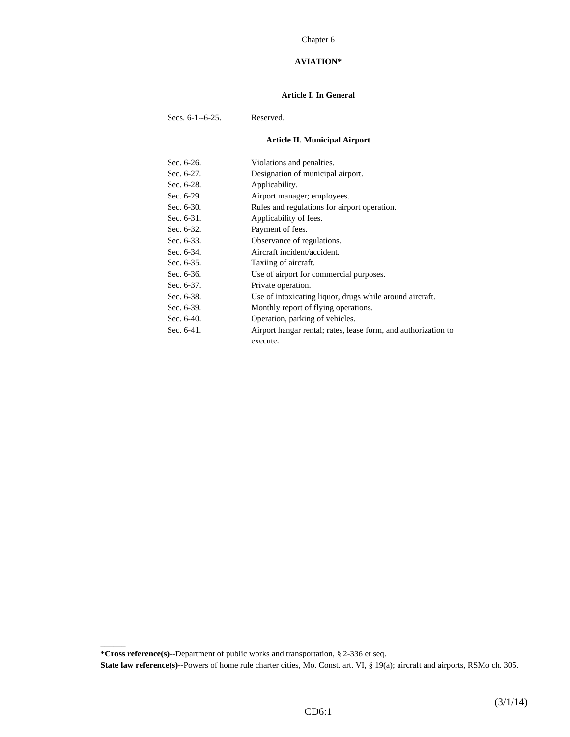#### Chapter 6

## **AVIATION\***

#### **Article I. In General**

Secs. 6-1--6-25. Reserved.

# **Article II. Municipal Airport**

| Sec. 6-26.    | Violations and penalties.                                      |
|---------------|----------------------------------------------------------------|
| Sec. 6-27.    | Designation of municipal airport.                              |
| Sec. 6-28.    | Applicability.                                                 |
| Sec. 6-29.    | Airport manager; employees.                                    |
| Sec. 6-30.    | Rules and regulations for airport operation.                   |
| Sec. $6-31$ . | Applicability of fees.                                         |
| Sec. $6-32$ . | Payment of fees.                                               |
| Sec. 6-33.    | Observance of regulations.                                     |
| Sec. 6-34.    | Aircraft incident/accident.                                    |
| Sec. 6-35.    | Taxiing of aircraft.                                           |
| Sec. 6-36.    | Use of airport for commercial purposes.                        |
| Sec. 6-37.    | Private operation.                                             |
| Sec. 6-38.    | Use of intoxicating liquor, drugs while around aircraft.       |
| Sec. 6-39.    | Monthly report of flying operations.                           |
| Sec. 6-40.    | Operation, parking of vehicles.                                |
| Sec. $6-41$ . | Airport hangar rental; rates, lease form, and authorization to |
|               | execute.                                                       |

**\*Cross reference(s)--**Department of public works and transportation, § 2-336 et seq.

 $\overline{\phantom{a}}$ 

**State law reference(s)--**Powers of home rule charter cities, Mo. Const. art. VI, § 19(a); aircraft and airports, RSMo ch. 305.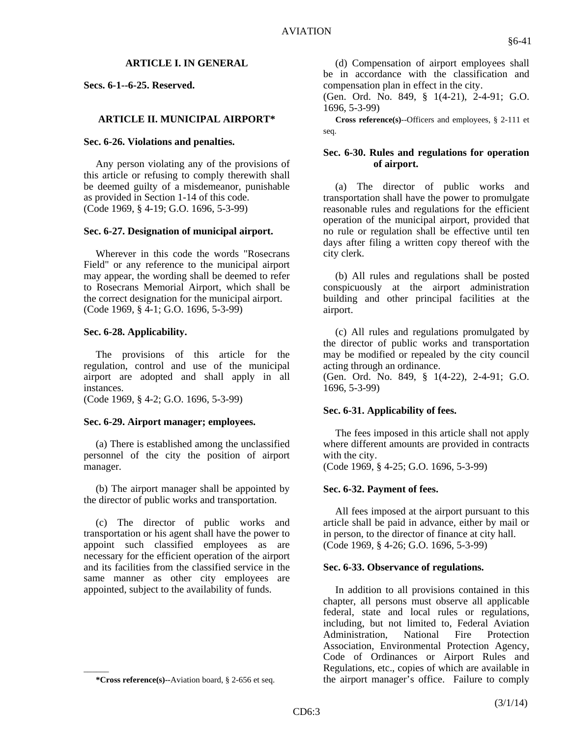#### **ARTICLE I. IN GENERAL**

**Secs. 6-1--6-25. Reserved.**

### **ARTICLE II. MUNICIPAL AIRPORT\***

#### **Sec. 6-26. Violations and penalties.**

 Any person violating any of the provisions of this article or refusing to comply therewith shall be deemed guilty of a misdemeanor, punishable as provided in Section 1-14 of this code. (Code 1969, § 4-19; G.O. 1696, 5-3-99)

## **Sec. 6-27. Designation of municipal airport.**

 Wherever in this code the words "Rosecrans Field" or any reference to the municipal airport may appear, the wording shall be deemed to refer to Rosecrans Memorial Airport, which shall be the correct designation for the municipal airport. (Code 1969, § 4-1; G.O. 1696, 5-3-99)

## **Sec. 6-28. Applicability.**

 The provisions of this article for the regulation, control and use of the municipal airport are adopted and shall apply in all instances.

(Code 1969, § 4-2; G.O. 1696, 5-3-99)

## **Sec. 6-29. Airport manager; employees.**

 (a) There is established among the unclassified personnel of the city the position of airport manager.

 (b) The airport manager shall be appointed by the director of public works and transportation.

 (c) The director of public works and transportation or his agent shall have the power to appoint such classified employees as are necessary for the efficient operation of the airport and its facilities from the classified service in the same manner as other city employees are appointed, subject to the availability of funds.

 $\overline{\phantom{a}}$ 

 (d) Compensation of airport employees shall be in accordance with the classification and compensation plan in effect in the city.

(Gen. Ord. No. 849, § 1(4-21), 2-4-91; G.O. 1696, 5-3-99)

 **Cross reference(s)**--Officers and employees, § 2-111 et seq.

### **Sec. 6-30. Rules and regulations for operation of airport.**

 (a) The director of public works and transportation shall have the power to promulgate reasonable rules and regulations for the efficient operation of the municipal airport, provided that no rule or regulation shall be effective until ten days after filing a written copy thereof with the city clerk.

 (b) All rules and regulations shall be posted conspicuously at the airport administration building and other principal facilities at the airport.

 (c) All rules and regulations promulgated by the director of public works and transportation may be modified or repealed by the city council acting through an ordinance.

(Gen. Ord. No. 849, § 1(4-22), 2-4-91; G.O. 1696, 5-3-99)

## **Sec. 6-31. Applicability of fees.**

 The fees imposed in this article shall not apply where different amounts are provided in contracts with the city.

(Code 1969, § 4-25; G.O. 1696, 5-3-99)

#### **Sec. 6-32. Payment of fees.**

 All fees imposed at the airport pursuant to this article shall be paid in advance, either by mail or in person, to the director of finance at city hall. (Code 1969, § 4-26; G.O. 1696, 5-3-99)

#### **Sec. 6-33. Observance of regulations.**

 In addition to all provisions contained in this chapter, all persons must observe all applicable federal, state and local rules or regulations, including, but not limited to, Federal Aviation Administration, National Fire Protection Association, Environmental Protection Agency, Code of Ordinances or Airport Rules and Regulations, etc., copies of which are available in the airport manager's office. Failure to comply

 **<sup>\*</sup>Cross reference(s)--**Aviation board, § 2-656 et seq.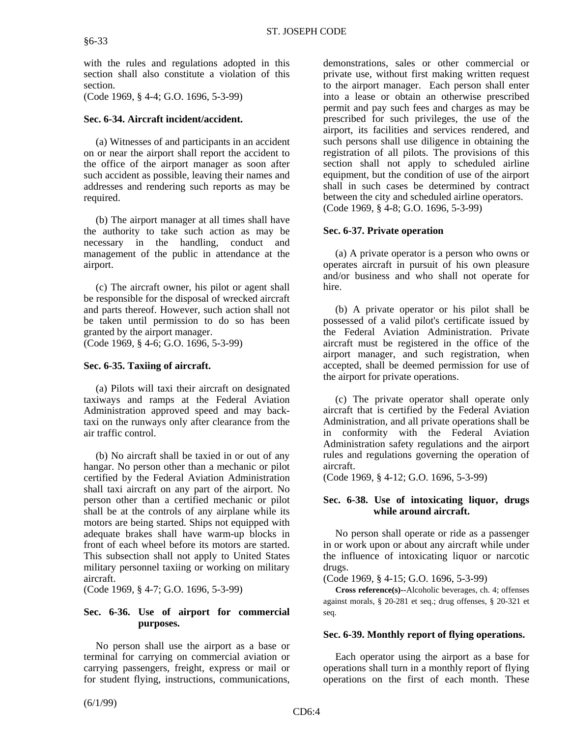with the rules and regulations adopted in this section shall also constitute a violation of this section.

(Code 1969, § 4-4; G.O. 1696, 5-3-99)

## **Sec. 6-34. Aircraft incident/accident.**

 (a) Witnesses of and participants in an accident on or near the airport shall report the accident to the office of the airport manager as soon after such accident as possible, leaving their names and addresses and rendering such reports as may be required.

 (b) The airport manager at all times shall have the authority to take such action as may be necessary in the handling, conduct and management of the public in attendance at the airport.

 (c) The aircraft owner, his pilot or agent shall be responsible for the disposal of wrecked aircraft and parts thereof. However, such action shall not be taken until permission to do so has been granted by the airport manager.

(Code 1969, § 4-6; G.O. 1696, 5-3-99)

## **Sec. 6-35. Taxiing of aircraft.**

 (a) Pilots will taxi their aircraft on designated taxiways and ramps at the Federal Aviation Administration approved speed and may backtaxi on the runways only after clearance from the air traffic control.

 (b) No aircraft shall be taxied in or out of any hangar. No person other than a mechanic or pilot certified by the Federal Aviation Administration shall taxi aircraft on any part of the airport. No person other than a certified mechanic or pilot shall be at the controls of any airplane while its motors are being started. Ships not equipped with adequate brakes shall have warm-up blocks in front of each wheel before its motors are started. This subsection shall not apply to United States military personnel taxiing or working on military aircraft.

(Code 1969, § 4-7; G.O. 1696, 5-3-99)

## **Sec. 6-36. Use of airport for commercial purposes.**

 No person shall use the airport as a base or terminal for carrying on commercial aviation or carrying passengers, freight, express or mail or for student flying, instructions, communications,

demonstrations, sales or other commercial or private use, without first making written request to the airport manager. Each person shall enter into a lease or obtain an otherwise prescribed permit and pay such fees and charges as may be prescribed for such privileges, the use of the airport, its facilities and services rendered, and such persons shall use diligence in obtaining the registration of all pilots. The provisions of this section shall not apply to scheduled airline equipment, but the condition of use of the airport shall in such cases be determined by contract between the city and scheduled airline operators. (Code 1969, § 4-8; G.O. 1696, 5-3-99)

## **Sec. 6-37. Private operation**

 (a) A private operator is a person who owns or operates aircraft in pursuit of his own pleasure and/or business and who shall not operate for hire.

 (b) A private operator or his pilot shall be possessed of a valid pilot's certificate issued by the Federal Aviation Administration. Private aircraft must be registered in the office of the airport manager, and such registration, when accepted, shall be deemed permission for use of the airport for private operations.

 (c) The private operator shall operate only aircraft that is certified by the Federal Aviation Administration, and all private operations shall be in conformity with the Federal Aviation Administration safety regulations and the airport rules and regulations governing the operation of aircraft.

(Code 1969, § 4-12; G.O. 1696, 5-3-99)

## **Sec. 6-38. Use of intoxicating liquor, drugs while around aircraft.**

 No person shall operate or ride as a passenger in or work upon or about any aircraft while under the influence of intoxicating liquor or narcotic drugs.

(Code 1969, § 4-15; G.O. 1696, 5-3-99)

 **Cross reference(s)--**Alcoholic beverages, ch. 4; offenses against morals, § 20-281 et seq.; drug offenses, § 20-321 et seq.

## **Sec. 6-39. Monthly report of flying operations.**

 Each operator using the airport as a base for operations shall turn in a monthly report of flying operations on the first of each month. These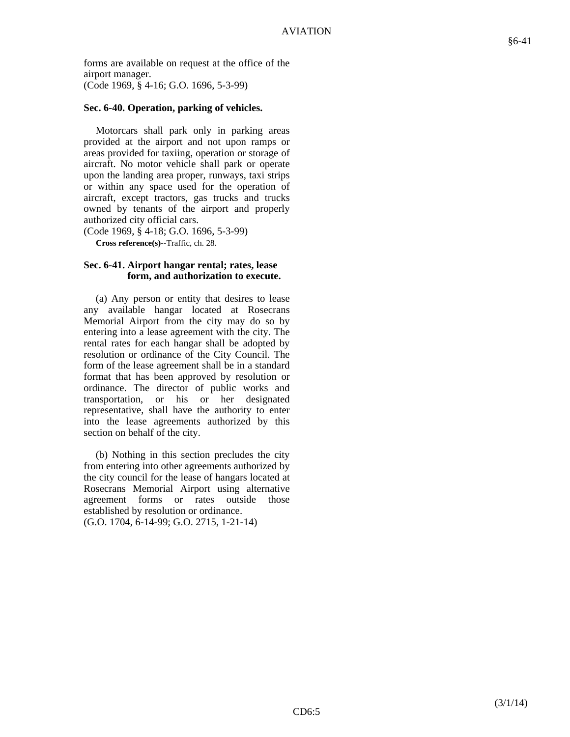forms are available on request at the office of the airport manager. (Code 1969, § 4-16; G.O. 1696, 5-3-99)

#### **Sec. 6-40. Operation, parking of vehicles.**

 Motorcars shall park only in parking areas provided at the airport and not upon ramps or areas provided for taxiing, operation or storage of aircraft. No motor vehicle shall park or operate upon the landing area proper, runways, taxi strips or within any space used for the operation of aircraft, except tractors, gas trucks and trucks owned by tenants of the airport and properly authorized city official cars.

(Code 1969, § 4-18; G.O. 1696, 5-3-99)

 **Cross reference(s)--**Traffic, ch. 28.

#### **Sec. 6-41. Airport hangar rental; rates, lease form, and authorization to execute.**

 (a) Any person or entity that desires to lease any available hangar located at Rosecrans Memorial Airport from the city may do so by entering into a lease agreement with the city. The rental rates for each hangar shall be adopted by resolution or ordinance of the City Council. The form of the lease agreement shall be in a standard format that has been approved by resolution or ordinance. The director of public works and transportation, or his or her designated representative, shall have the authority to enter into the lease agreements authorized by this section on behalf of the city.

 (b) Nothing in this section precludes the city from entering into other agreements authorized by the city council for the lease of hangars located at Rosecrans Memorial Airport using alternative agreement forms or rates outside those established by resolution or ordinance. (G.O. 1704, 6-14-99; G.O. 2715, 1-21-14)

§6-41